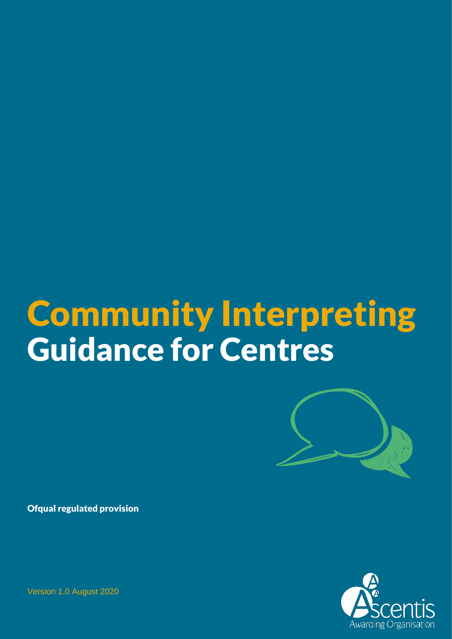# Community Interpreting Guidance for Centres



Ofqual regulated provision

Awarding Organisation

Version 1.0 August 2020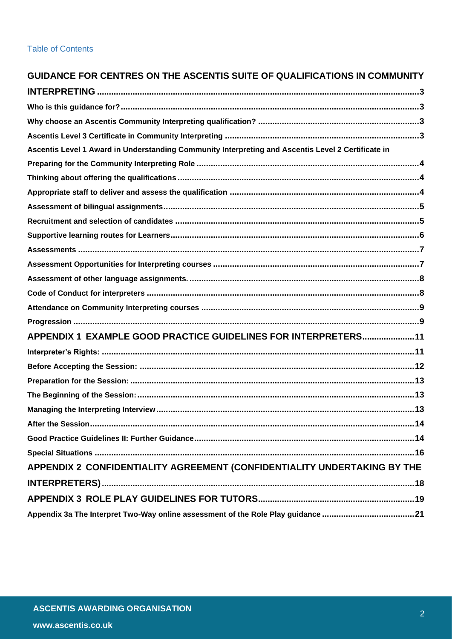#### **Table of Contents**

| GUIDANCE FOR CENTRES ON THE ASCENTIS SUITE OF QUALIFICATIONS IN COMMUNITY                          |    |
|----------------------------------------------------------------------------------------------------|----|
|                                                                                                    |    |
|                                                                                                    |    |
|                                                                                                    |    |
|                                                                                                    |    |
| Ascentis Level 1 Award in Understanding Community Interpreting and Ascentis Level 2 Certificate in |    |
|                                                                                                    |    |
|                                                                                                    |    |
|                                                                                                    |    |
|                                                                                                    |    |
|                                                                                                    |    |
|                                                                                                    |    |
|                                                                                                    |    |
|                                                                                                    |    |
|                                                                                                    |    |
|                                                                                                    |    |
|                                                                                                    |    |
|                                                                                                    |    |
| APPENDIX 1 EXAMPLE GOOD PRACTICE GUIDELINES FOR INTERPRETERS11                                     |    |
|                                                                                                    |    |
|                                                                                                    |    |
|                                                                                                    |    |
|                                                                                                    |    |
|                                                                                                    | 13 |
|                                                                                                    |    |
|                                                                                                    |    |
|                                                                                                    |    |
| APPENDIX 2 CONFIDENTIALITY AGREEMENT (CONFIDENTIALITY UNDERTAKING BY THE                           |    |
|                                                                                                    |    |
|                                                                                                    |    |
|                                                                                                    |    |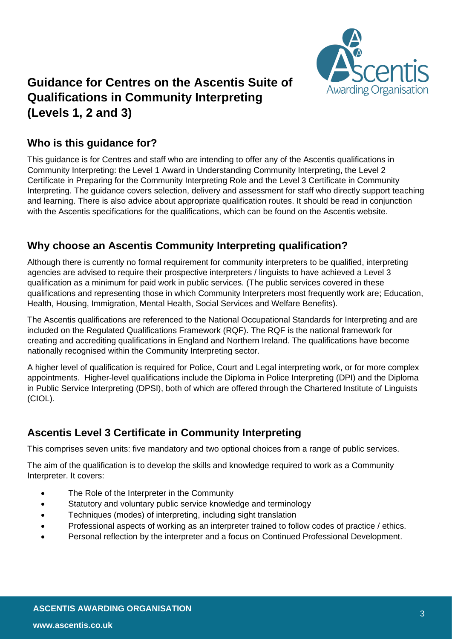

## <span id="page-2-0"></span>**Guidance for Centres on the Ascentis Suite of Qualifications in Community Interpreting (Levels 1, 2 and 3)**

#### <span id="page-2-1"></span>**Who is this guidance for?**

This guidance is for Centres and staff who are intending to offer any of the Ascentis qualifications in Community Interpreting: the Level 1 Award in Understanding Community Interpreting, the Level 2 Certificate in Preparing for the Community Interpreting Role and the Level 3 Certificate in Community Interpreting. The guidance covers selection, delivery and assessment for staff who directly support teaching and learning. There is also advice about appropriate qualification routes. It should be read in conjunction with the Ascentis specifications for the qualifications, which can be found on the Ascentis website.

#### <span id="page-2-2"></span>**Why choose an Ascentis Community Interpreting qualification?**

Although there is currently no formal requirement for community interpreters to be qualified, interpreting agencies are advised to require their prospective interpreters / linguists to have achieved a Level 3 qualification as a minimum for paid work in public services. (The public services covered in these qualifications and representing those in which Community Interpreters most frequently work are; Education, Health, Housing, Immigration, Mental Health, Social Services and Welfare Benefits).

The Ascentis qualifications are referenced to the National Occupational Standards for Interpreting and are included on the Regulated Qualifications Framework (RQF). The RQF is the national framework for creating and accrediting qualifications in England and Northern Ireland. The qualifications have become nationally recognised within the Community Interpreting sector.

A higher level of qualification is required for Police, Court and Legal interpreting work, or for more complex appointments. Higher-level qualifications include the Diploma in Police Interpreting (DPI) and the Diploma in Public Service Interpreting (DPSI), both of which are offered through the Chartered Institute of Linguists (CIOL).

## <span id="page-2-3"></span>**Ascentis Level 3 Certificate in Community Interpreting**

This comprises seven units: five mandatory and two optional choices from a range of public services.

The aim of the qualification is to develop the skills and knowledge required to work as a Community Interpreter. It covers:

- The Role of the Interpreter in the Community
- Statutory and voluntary public service knowledge and terminology
- Techniques (modes) of interpreting, including sight translation
- Professional aspects of working as an interpreter trained to follow codes of practice / ethics.
- Personal reflection by the interpreter and a focus on Continued Professional Development.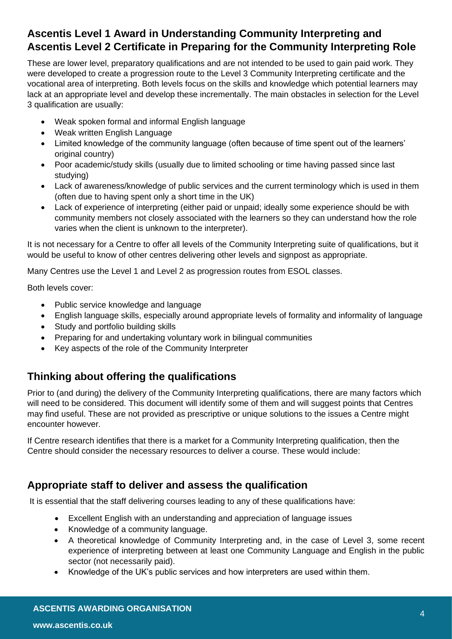## <span id="page-3-0"></span>**Ascentis Level 1 Award in Understanding Community Interpreting and Ascentis Level 2 Certificate in Preparing for the Community Interpreting Role**

These are lower level, preparatory qualifications and are not intended to be used to gain paid work. They were developed to create a progression route to the Level 3 Community Interpreting certificate and the vocational area of interpreting. Both levels focus on the skills and knowledge which potential learners may lack at an appropriate level and develop these incrementally. The main obstacles in selection for the Level 3 qualification are usually:

- Weak spoken formal and informal English language
- Weak written English Language
- Limited knowledge of the community language (often because of time spent out of the learners' original country)
- Poor academic/study skills (usually due to limited schooling or time having passed since last studying)
- Lack of awareness/knowledge of public services and the current terminology which is used in them (often due to having spent only a short time in the UK)
- Lack of experience of interpreting (either paid or unpaid; ideally some experience should be with community members not closely associated with the learners so they can understand how the role varies when the client is unknown to the interpreter).

It is not necessary for a Centre to offer all levels of the Community Interpreting suite of qualifications, but it would be useful to know of other centres delivering other levels and signpost as appropriate.

Many Centres use the Level 1 and Level 2 as progression routes from ESOL classes.

Both levels cover:

- Public service knowledge and language
- English language skills, especially around appropriate levels of formality and informality of language
- Study and portfolio building skills
- Preparing for and undertaking voluntary work in bilingual communities
- Key aspects of the role of the Community Interpreter

## <span id="page-3-1"></span>**Thinking about offering the qualifications**

Prior to (and during) the delivery of the Community Interpreting qualifications, there are many factors which will need to be considered. This document will identify some of them and will suggest points that Centres may find useful. These are not provided as prescriptive or unique solutions to the issues a Centre might encounter however.

If Centre research identifies that there is a market for a Community Interpreting qualification, then the Centre should consider the necessary resources to deliver a course. These would include:

#### <span id="page-3-2"></span>**Appropriate staff to deliver and assess the qualification**

It is essential that the staff delivering courses leading to any of these qualifications have:

- Excellent English with an understanding and appreciation of language issues
- Knowledge of a community language.
- A theoretical knowledge of Community Interpreting and, in the case of Level 3, some recent experience of interpreting between at least one Community Language and English in the public sector (not necessarily paid).
- Knowledge of the UK's public services and how interpreters are used within them.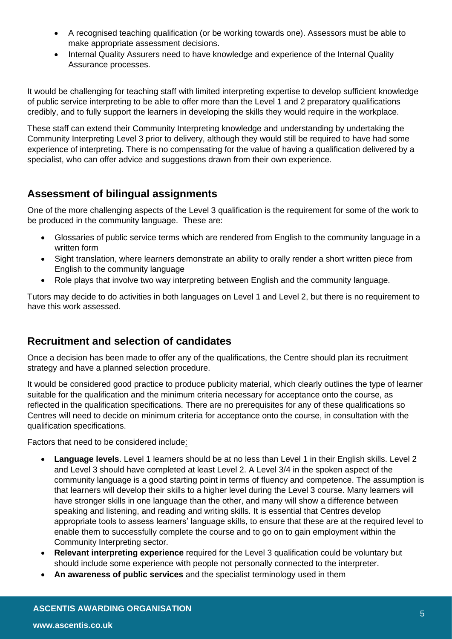- A recognised teaching qualification (or be working towards one). Assessors must be able to make appropriate assessment decisions.
- Internal Quality Assurers need to have knowledge and experience of the Internal Quality Assurance processes.

It would be challenging for teaching staff with limited interpreting expertise to develop sufficient knowledge of public service interpreting to be able to offer more than the Level 1 and 2 preparatory qualifications credibly, and to fully support the learners in developing the skills they would require in the workplace.

These staff can extend their Community Interpreting knowledge and understanding by undertaking the Community Interpreting Level 3 prior to delivery, although they would still be required to have had some experience of interpreting. There is no compensating for the value of having a qualification delivered by a specialist, who can offer advice and suggestions drawn from their own experience.

#### <span id="page-4-0"></span>**Assessment of bilingual assignments**

One of the more challenging aspects of the Level 3 qualification is the requirement for some of the work to be produced in the community language. These are:

- Glossaries of public service terms which are rendered from English to the community language in a written form
- Sight translation, where learners demonstrate an ability to orally render a short written piece from English to the community language
- Role plays that involve two way interpreting between English and the community language.

Tutors may decide to do activities in both languages on Level 1 and Level 2, but there is no requirement to have this work assessed.

#### <span id="page-4-1"></span>**Recruitment and selection of candidates**

Once a decision has been made to offer any of the qualifications, the Centre should plan its recruitment strategy and have a planned selection procedure.

It would be considered good practice to produce publicity material, which clearly outlines the type of learner suitable for the qualification and the minimum criteria necessary for acceptance onto the course, as reflected in the qualification specifications. There are no prerequisites for any of these qualifications so Centres will need to decide on minimum criteria for acceptance onto the course, in consultation with the qualification specifications.

Factors that need to be considered include:

- **Language levels**. Level 1 learners should be at no less than Level 1 in their English skills. Level 2 and Level 3 should have completed at least Level 2. A Level 3/4 in the spoken aspect of the community language is a good starting point in terms of fluency and competence. The assumption is that learners will develop their skills to a higher level during the Level 3 course. Many learners will have stronger skills in one language than the other, and many will show a difference between speaking and listening, and reading and writing skills. It is essential that Centres develop appropriate tools to assess learners' language skills, to ensure that these are at the required level to enable them to successfully complete the course and to go on to gain employment within the Community Interpreting sector.
- **Relevant interpreting experience** required for the Level 3 qualification could be voluntary but should include some experience with people not personally connected to the interpreter.
- **An awareness of public services** and the specialist terminology used in them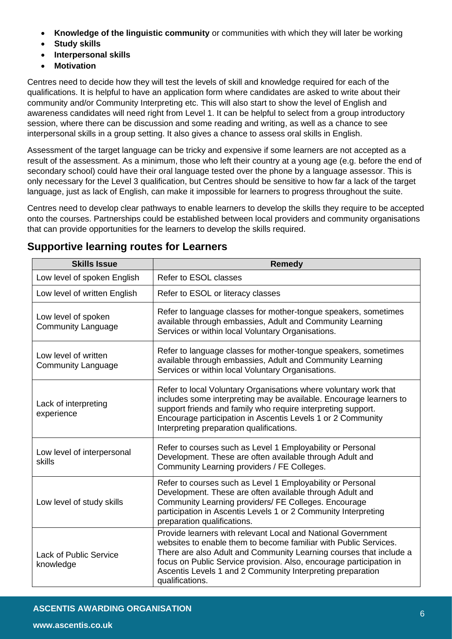- **Knowledge of the linguistic community** or communities with which they will later be working
- **Study skills**
- **Interpersonal skills**
- **Motivation**

Centres need to decide how they will test the levels of skill and knowledge required for each of the qualifications. It is helpful to have an application form where candidates are asked to write about their community and/or Community Interpreting etc. This will also start to show the level of English and awareness candidates will need right from Level 1. It can be helpful to select from a group introductory session, where there can be discussion and some reading and writing, as well as a chance to see interpersonal skills in a group setting. It also gives a chance to assess oral skills in English.

Assessment of the target language can be tricky and expensive if some learners are not accepted as a result of the assessment. As a minimum, those who left their country at a young age (e.g. before the end of secondary school) could have their oral language tested over the phone by a language assessor. This is only necessary for the Level 3 qualification, but Centres should be sensitive to how far a lack of the target language, just as lack of English, can make it impossible for learners to progress throughout the suite.

Centres need to develop clear pathways to enable learners to develop the skills they require to be accepted onto the courses. Partnerships could be established between local providers and community organisations that can provide opportunities for the learners to develop the skills required.

| <b>Skills Issue</b>                               | <b>Remedy</b>                                                                                                                                                                                                                                                                                                                                                  |  |  |
|---------------------------------------------------|----------------------------------------------------------------------------------------------------------------------------------------------------------------------------------------------------------------------------------------------------------------------------------------------------------------------------------------------------------------|--|--|
| Low level of spoken English                       | Refer to ESOL classes                                                                                                                                                                                                                                                                                                                                          |  |  |
| Low level of written English                      | Refer to ESOL or literacy classes                                                                                                                                                                                                                                                                                                                              |  |  |
| Low level of spoken<br><b>Community Language</b>  | Refer to language classes for mother-tongue speakers, sometimes<br>available through embassies, Adult and Community Learning<br>Services or within local Voluntary Organisations.                                                                                                                                                                              |  |  |
| Low level of written<br><b>Community Language</b> | Refer to language classes for mother-tongue speakers, sometimes<br>available through embassies, Adult and Community Learning<br>Services or within local Voluntary Organisations.                                                                                                                                                                              |  |  |
| Lack of interpreting<br>experience                | Refer to local Voluntary Organisations where voluntary work that<br>includes some interpreting may be available. Encourage learners to<br>support friends and family who require interpreting support.<br>Encourage participation in Ascentis Levels 1 or 2 Community<br>Interpreting preparation qualifications.                                              |  |  |
| Low level of interpersonal<br>skills              | Refer to courses such as Level 1 Employability or Personal<br>Development. These are often available through Adult and<br>Community Learning providers / FE Colleges.                                                                                                                                                                                          |  |  |
| Low level of study skills                         | Refer to courses such as Level 1 Employability or Personal<br>Development. These are often available through Adult and<br>Community Learning providers/ FE Colleges. Encourage<br>participation in Ascentis Levels 1 or 2 Community Interpreting<br>preparation qualifications.                                                                                |  |  |
| <b>Lack of Public Service</b><br>knowledge        | Provide learners with relevant Local and National Government<br>websites to enable them to become familiar with Public Services.<br>There are also Adult and Community Learning courses that include a<br>focus on Public Service provision. Also, encourage participation in<br>Ascentis Levels 1 and 2 Community Interpreting preparation<br>qualifications. |  |  |

#### <span id="page-5-0"></span>**Supportive learning routes for Learners**

#### **ASCENTIS AWARDING ORGANISATION**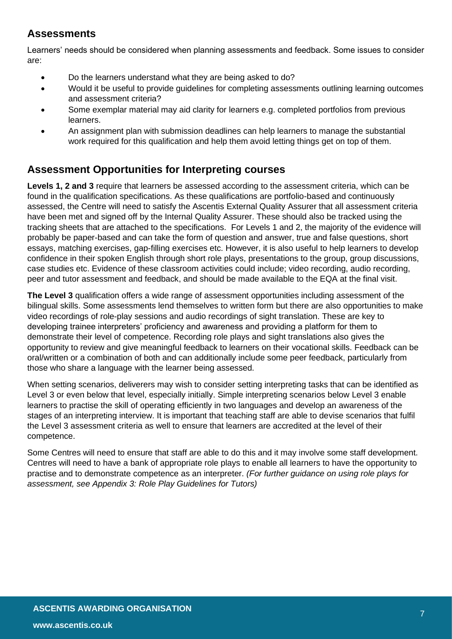## <span id="page-6-0"></span>**Assessments**

Learners' needs should be considered when planning assessments and feedback. Some issues to consider are:

- Do the learners understand what they are being asked to do?
- Would it be useful to provide guidelines for completing assessments outlining learning outcomes and assessment criteria?
- Some exemplar material may aid clarity for learners e.g. completed portfolios from previous learners.
- An assignment plan with submission deadlines can help learners to manage the substantial work required for this qualification and help them avoid letting things get on top of them.

#### <span id="page-6-1"></span>**Assessment Opportunities for Interpreting courses**

**Levels 1, 2 and 3** require that learners be assessed according to the assessment criteria, which can be found in the qualification specifications. As these qualifications are portfolio-based and continuously assessed, the Centre will need to satisfy the Ascentis External Quality Assurer that all assessment criteria have been met and signed off by the Internal Quality Assurer. These should also be tracked using the tracking sheets that are attached to the specifications. For Levels 1 and 2, the majority of the evidence will probably be paper-based and can take the form of question and answer, true and false questions, short essays, matching exercises, gap-filling exercises etc. However, it is also useful to help learners to develop confidence in their spoken English through short role plays, presentations to the group, group discussions, case studies etc. Evidence of these classroom activities could include; video recording, audio recording, peer and tutor assessment and feedback, and should be made available to the EQA at the final visit.

**The Level 3** qualification offers a wide range of assessment opportunities including assessment of the bilingual skills. Some assessments lend themselves to written form but there are also opportunities to make video recordings of role-play sessions and audio recordings of sight translation. These are key to developing trainee interpreters' proficiency and awareness and providing a platform for them to demonstrate their level of competence. Recording role plays and sight translations also gives the opportunity to review and give meaningful feedback to learners on their vocational skills. Feedback can be oral/written or a combination of both and can additionally include some peer feedback, particularly from those who share a language with the learner being assessed.

When setting scenarios, deliverers may wish to consider setting interpreting tasks that can be identified as Level 3 or even below that level, especially initially. Simple interpreting scenarios below Level 3 enable learners to practise the skill of operating efficiently in two languages and develop an awareness of the stages of an interpreting interview. It is important that teaching staff are able to devise scenarios that fulfil the Level 3 assessment criteria as well to ensure that learners are accredited at the level of their competence.

Some Centres will need to ensure that staff are able to do this and it may involve some staff development. Centres will need to have a bank of appropriate role plays to enable all learners to have the opportunity to practise and to demonstrate competence as an interpreter. *(For further guidance on using role plays for assessment, see Appendix 3: Role Play Guidelines for Tutors)*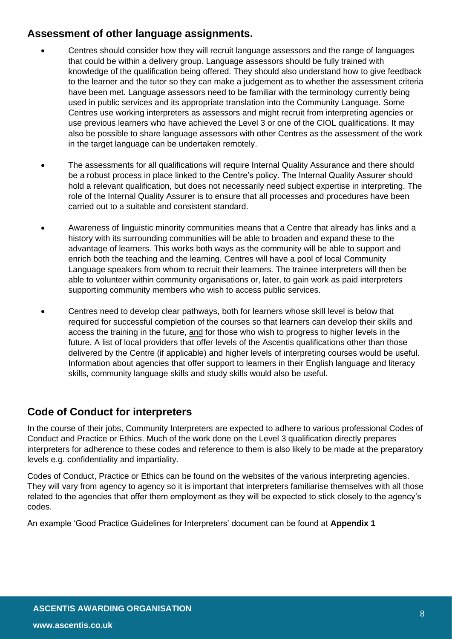#### <span id="page-7-0"></span>**Assessment of other language assignments.**

- Centres should consider how they will recruit language assessors and the range of languages that could be within a delivery group. Language assessors should be fully trained with knowledge of the qualification being offered. They should also understand how to give feedback to the learner and the tutor so they can make a judgement as to whether the assessment criteria have been met. Language assessors need to be familiar with the terminology currently being used in public services and its appropriate translation into the Community Language. Some Centres use working interpreters as assessors and might recruit from interpreting agencies or use previous learners who have achieved the Level 3 or one of the CIOL qualifications. It may also be possible to share language assessors with other Centres as the assessment of the work in the target language can be undertaken remotely.
- The assessments for all qualifications will require Internal Quality Assurance and there should be a robust process in place linked to the Centre's policy. The Internal Quality Assurer should hold a relevant qualification, but does not necessarily need subject expertise in interpreting. The role of the Internal Quality Assurer is to ensure that all processes and procedures have been carried out to a suitable and consistent standard.
- Awareness of linguistic minority communities means that a Centre that already has links and a history with its surrounding communities will be able to broaden and expand these to the advantage of learners. This works both ways as the community will be able to support and enrich both the teaching and the learning. Centres will have a pool of local Community Language speakers from whom to recruit their learners. The trainee interpreters will then be able to volunteer within community organisations or, later, to gain work as paid interpreters supporting community members who wish to access public services.
- Centres need to develop clear pathways, both for learners whose skill level is below that required for successful completion of the courses so that learners can develop their skills and access the training in the future, and for those who wish to progress to higher levels in the future. A list of local providers that offer levels of the Ascentis qualifications other than those delivered by the Centre (if applicable) and higher levels of interpreting courses would be useful. Information about agencies that offer support to learners in their English language and literacy skills, community language skills and study skills would also be useful.

## <span id="page-7-1"></span>**Code of Conduct for interpreters**

In the course of their jobs, Community Interpreters are expected to adhere to various professional Codes of Conduct and Practice or Ethics. Much of the work done on the Level 3 qualification directly prepares interpreters for adherence to these codes and reference to them is also likely to be made at the preparatory levels e.g. confidentiality and impartiality.

Codes of Conduct, Practice or Ethics can be found on the websites of the various interpreting agencies. They will vary from agency to agency so it is important that interpreters familiarise themselves with all those related to the agencies that offer them employment as they will be expected to stick closely to the agency's codes.

An example 'Good Practice Guidelines for Interpreters' document can be found at **Appendix 1**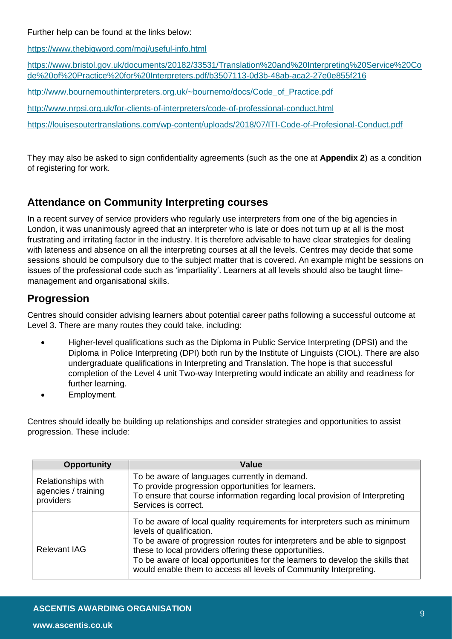Further help can be found at the links below:

<https://www.thebigword.com/moj/useful-info.html>

[https://www.bristol.gov.uk/documents/20182/33531/Translation%20and%20Interpreting%20Service%20Co](https://www.bristol.gov.uk/documents/20182/33531/Translation%20and%20Interpreting%20Service%20Code%20of%20Practice%20for%20Interpreters.pdf/b3507113-0d3b-48ab-aca2-27e0e855f216) [de%20of%20Practice%20for%20Interpreters.pdf/b3507113-0d3b-48ab-aca2-27e0e855f216](https://www.bristol.gov.uk/documents/20182/33531/Translation%20and%20Interpreting%20Service%20Code%20of%20Practice%20for%20Interpreters.pdf/b3507113-0d3b-48ab-aca2-27e0e855f216)

[http://www.bournemouthinterpreters.org.uk/~bournemo/docs/Code\\_of\\_Practice.pdf](http://www.bournemouthinterpreters.org.uk/~bournemo/docs/Code_of_Practice.pdf)

<http://www.nrpsi.org.uk/for-clients-of-interpreters/code-of-professional-conduct.html>

<https://louisesoutertranslations.com/wp-content/uploads/2018/07/ITI-Code-of-Profesional-Conduct.pdf>

They may also be asked to sign confidentiality agreements (such as the one at **Appendix 2**) as a condition of registering for work.

## <span id="page-8-0"></span>**Attendance on Community Interpreting courses**

In a recent survey of service providers who regularly use interpreters from one of the big agencies in London, it was unanimously agreed that an interpreter who is late or does not turn up at all is the most frustrating and irritating factor in the industry. It is therefore advisable to have clear strategies for dealing with lateness and absence on all the interpreting courses at all the levels. Centres may decide that some sessions should be compulsory due to the subject matter that is covered. An example might be sessions on issues of the professional code such as 'impartiality'. Learners at all levels should also be taught timemanagement and organisational skills.

#### <span id="page-8-1"></span>**Progression**

Centres should consider advising learners about potential career paths following a successful outcome at Level 3. There are many routes they could take, including:

- Higher-level qualifications such as the Diploma in Public Service Interpreting (DPSI) and the Diploma in Police Interpreting (DPI) both run by the Institute of Linguists (CIOL). There are also undergraduate qualifications in Interpreting and Translation. The hope is that successful completion of the Level 4 unit Two-way Interpreting would indicate an ability and readiness for further learning.
- Employment.

Centres should ideally be building up relationships and consider strategies and opportunities to assist progression. These include:

| <b>Opportunity</b>                                            | Value                                                                                                                                                                                                                                                                                                                                                                                                 |
|---------------------------------------------------------------|-------------------------------------------------------------------------------------------------------------------------------------------------------------------------------------------------------------------------------------------------------------------------------------------------------------------------------------------------------------------------------------------------------|
| <b>Relationships with</b><br>agencies / training<br>providers | To be aware of languages currently in demand.<br>To provide progression opportunities for learners.<br>To ensure that course information regarding local provision of Interpreting<br>Services is correct.                                                                                                                                                                                            |
| <b>Relevant IAG</b>                                           | To be aware of local quality requirements for interpreters such as minimum<br>levels of qualification.<br>To be aware of progression routes for interpreters and be able to signpost<br>these to local providers offering these opportunities.<br>To be aware of local opportunities for the learners to develop the skills that<br>would enable them to access all levels of Community Interpreting. |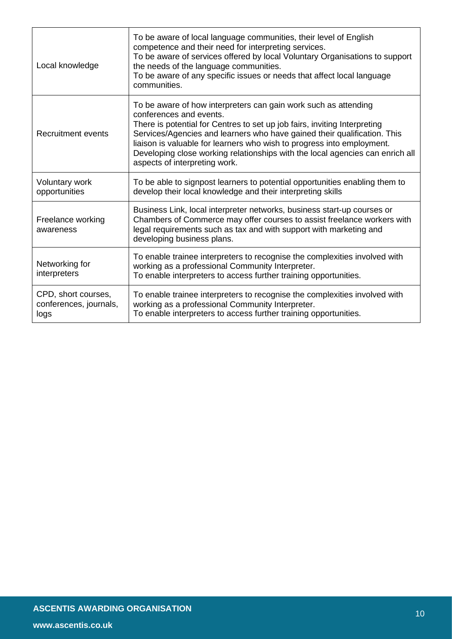| Local knowledge                                       | To be aware of local language communities, their level of English<br>competence and their need for interpreting services.<br>To be aware of services offered by local Voluntary Organisations to support<br>the needs of the language communities.<br>To be aware of any specific issues or needs that affect local language<br>communities.                                                                                                    |
|-------------------------------------------------------|-------------------------------------------------------------------------------------------------------------------------------------------------------------------------------------------------------------------------------------------------------------------------------------------------------------------------------------------------------------------------------------------------------------------------------------------------|
| Recruitment events                                    | To be aware of how interpreters can gain work such as attending<br>conferences and events.<br>There is potential for Centres to set up job fairs, inviting Interpreting<br>Services/Agencies and learners who have gained their qualification. This<br>liaison is valuable for learners who wish to progress into employment.<br>Developing close working relationships with the local agencies can enrich all<br>aspects of interpreting work. |
| <b>Voluntary work</b><br>opportunities                | To be able to signpost learners to potential opportunities enabling them to<br>develop their local knowledge and their interpreting skills                                                                                                                                                                                                                                                                                                      |
| Freelance working<br>awareness                        | Business Link, local interpreter networks, business start-up courses or<br>Chambers of Commerce may offer courses to assist freelance workers with<br>legal requirements such as tax and with support with marketing and<br>developing business plans.                                                                                                                                                                                          |
| Networking for<br>interpreters                        | To enable trainee interpreters to recognise the complexities involved with<br>working as a professional Community Interpreter.<br>To enable interpreters to access further training opportunities.                                                                                                                                                                                                                                              |
| CPD, short courses,<br>conferences, journals,<br>logs | To enable trainee interpreters to recognise the complexities involved with<br>working as a professional Community Interpreter.<br>To enable interpreters to access further training opportunities.                                                                                                                                                                                                                                              |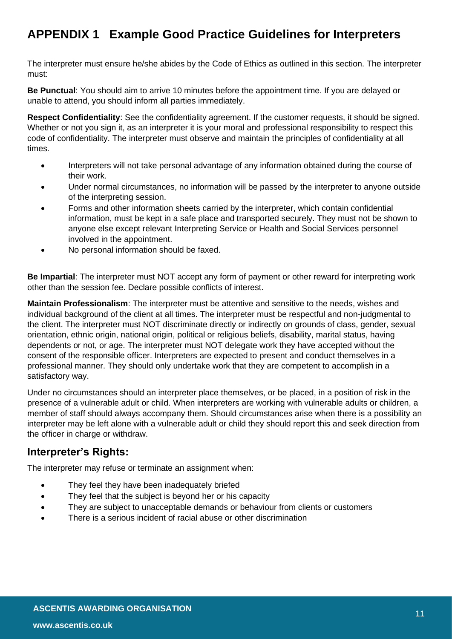# <span id="page-10-0"></span>**APPENDIX 1 Example Good Practice Guidelines for Interpreters**

The interpreter must ensure he/she abides by the Code of Ethics as outlined in this section. The interpreter must:

**Be Punctual**: You should aim to arrive 10 minutes before the appointment time. If you are delayed or unable to attend, you should inform all parties immediately.

**Respect Confidentiality**: See the confidentiality agreement. If the customer requests, it should be signed. Whether or not you sign it, as an interpreter it is your moral and professional responsibility to respect this code of confidentiality. The interpreter must observe and maintain the principles of confidentiality at all times.

- Interpreters will not take personal advantage of any information obtained during the course of their work.
- Under normal circumstances, no information will be passed by the interpreter to anyone outside of the interpreting session.
- Forms and other information sheets carried by the interpreter, which contain confidential information, must be kept in a safe place and transported securely. They must not be shown to anyone else except relevant Interpreting Service or Health and Social Services personnel involved in the appointment.
- No personal information should be faxed.

**Be Impartial**: The interpreter must NOT accept any form of payment or other reward for interpreting work other than the session fee. Declare possible conflicts of interest.

**Maintain Professionalism**: The interpreter must be attentive and sensitive to the needs, wishes and individual background of the client at all times. The interpreter must be respectful and non-judgmental to the client. The interpreter must NOT discriminate directly or indirectly on grounds of class, gender, sexual orientation, ethnic origin, national origin, political or religious beliefs, disability, marital status, having dependents or not, or age. The interpreter must NOT delegate work they have accepted without the consent of the responsible officer. Interpreters are expected to present and conduct themselves in a professional manner. They should only undertake work that they are competent to accomplish in a satisfactory way.

Under no circumstances should an interpreter place themselves, or be placed, in a position of risk in the presence of a vulnerable adult or child. When interpreters are working with vulnerable adults or children, a member of staff should always accompany them. Should circumstances arise when there is a possibility an interpreter may be left alone with a vulnerable adult or child they should report this and seek direction from the officer in charge or withdraw.

#### <span id="page-10-1"></span>**Interpreter's Rights:**

The interpreter may refuse or terminate an assignment when:

- They feel they have been inadequately briefed
- They feel that the subject is beyond her or his capacity
- They are subject to unacceptable demands or behaviour from clients or customers
- There is a serious incident of racial abuse or other discrimination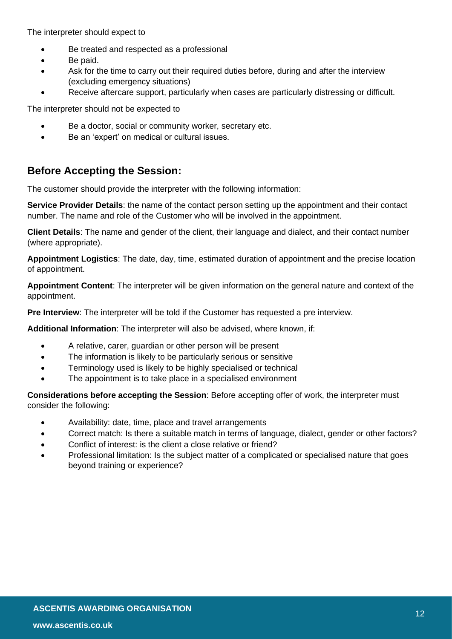The interpreter should expect to

- Be treated and respected as a professional
- Be paid.
- Ask for the time to carry out their required duties before, during and after the interview (excluding emergency situations)
- Receive aftercare support, particularly when cases are particularly distressing or difficult.

The interpreter should not be expected to

- Be a doctor, social or community worker, secretary etc.
- Be an 'expert' on medical or cultural issues.

#### <span id="page-11-0"></span>**Before Accepting the Session:**

The customer should provide the interpreter with the following information:

**Service Provider Details**: the name of the contact person setting up the appointment and their contact number. The name and role of the Customer who will be involved in the appointment.

**Client Details**: The name and gender of the client, their language and dialect, and their contact number (where appropriate).

**Appointment Logistics**: The date, day, time, estimated duration of appointment and the precise location of appointment.

**Appointment Content**: The interpreter will be given information on the general nature and context of the appointment.

**Pre Interview:** The interpreter will be told if the Customer has requested a pre interview.

**Additional Information**: The interpreter will also be advised, where known, if:

- A relative, carer, guardian or other person will be present
- The information is likely to be particularly serious or sensitive
- Terminology used is likely to be highly specialised or technical
- The appointment is to take place in a specialised environment

**Considerations before accepting the Session**: Before accepting offer of work, the interpreter must consider the following:

- Availability: date, time, place and travel arrangements
- Correct match: Is there a suitable match in terms of language, dialect, gender or other factors?
- Conflict of interest: is the client a close relative or friend?
- Professional limitation: Is the subject matter of a complicated or specialised nature that goes beyond training or experience?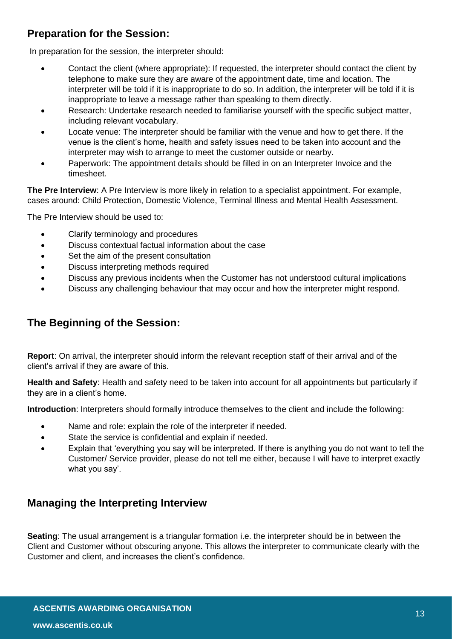#### <span id="page-12-0"></span>**Preparation for the Session:**

In preparation for the session, the interpreter should:

- Contact the client (where appropriate): If requested, the interpreter should contact the client by telephone to make sure they are aware of the appointment date, time and location. The interpreter will be told if it is inappropriate to do so. In addition, the interpreter will be told if it is inappropriate to leave a message rather than speaking to them directly.
- Research: Undertake research needed to familiarise yourself with the specific subject matter, including relevant vocabulary.
- Locate venue: The interpreter should be familiar with the venue and how to get there. If the venue is the client's home, health and safety issues need to be taken into account and the interpreter may wish to arrange to meet the customer outside or nearby.
- Paperwork: The appointment details should be filled in on an Interpreter Invoice and the timesheet.

**The Pre Interview**: A Pre Interview is more likely in relation to a specialist appointment. For example, cases around: Child Protection, Domestic Violence, Terminal Illness and Mental Health Assessment.

The Pre Interview should be used to:

- Clarify terminology and procedures
- Discuss contextual factual information about the case
- Set the aim of the present consultation
- Discuss interpreting methods required
- Discuss any previous incidents when the Customer has not understood cultural implications
- Discuss any challenging behaviour that may occur and how the interpreter might respond.

#### <span id="page-12-1"></span>**The Beginning of the Session:**

**Report**: On arrival, the interpreter should inform the relevant reception staff of their arrival and of the client's arrival if they are aware of this.

**Health and Safety**: Health and safety need to be taken into account for all appointments but particularly if they are in a client's home.

**Introduction**: Interpreters should formally introduce themselves to the client and include the following:

- Name and role: explain the role of the interpreter if needed.
- State the service is confidential and explain if needed.
- Explain that 'everything you say will be interpreted. If there is anything you do not want to tell the Customer/ Service provider, please do not tell me either, because I will have to interpret exactly what you say'.

#### <span id="page-12-2"></span>**Managing the Interpreting Interview**

**Seating**: The usual arrangement is a triangular formation i.e. the interpreter should be in between the Client and Customer without obscuring anyone. This allows the interpreter to communicate clearly with the Customer and client, and increases the client's confidence.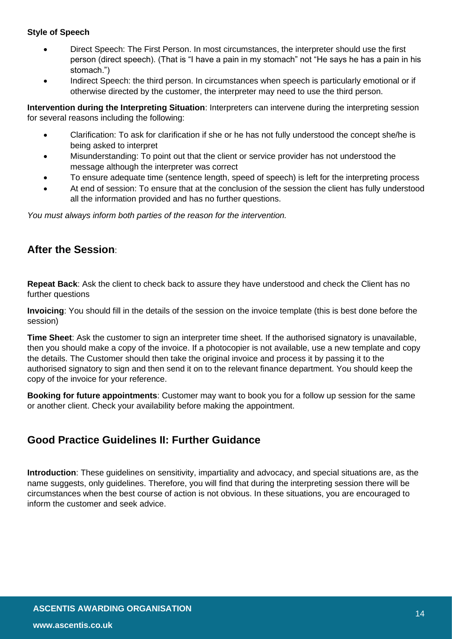#### **Style of Speech**

- Direct Speech: The First Person. In most circumstances, the interpreter should use the first person (direct speech). (That is "I have a pain in my stomach" not "He says he has a pain in his stomach.")
- Indirect Speech: the third person. In circumstances when speech is particularly emotional or if otherwise directed by the customer, the interpreter may need to use the third person.

**Intervention during the Interpreting Situation**: Interpreters can intervene during the interpreting session for several reasons including the following:

- Clarification: To ask for clarification if she or he has not fully understood the concept she/he is being asked to interpret
- Misunderstanding: To point out that the client or service provider has not understood the message although the interpreter was correct
- To ensure adequate time (sentence length, speed of speech) is left for the interpreting process
- At end of session: To ensure that at the conclusion of the session the client has fully understood all the information provided and has no further questions.

*You must always inform both parties of the reason for the intervention.*

#### <span id="page-13-0"></span>**After the Session**:

**Repeat Back**: Ask the client to check back to assure they have understood and check the Client has no further questions

**Invoicing**: You should fill in the details of the session on the invoice template (this is best done before the session)

**Time Sheet**: Ask the customer to sign an interpreter time sheet. If the authorised signatory is unavailable, then you should make a copy of the invoice. If a photocopier is not available, use a new template and copy the details. The Customer should then take the original invoice and process it by passing it to the authorised signatory to sign and then send it on to the relevant finance department. You should keep the copy of the invoice for your reference.

**Booking for future appointments**: Customer may want to book you for a follow up session for the same or another client. Check your availability before making the appointment.

#### <span id="page-13-1"></span>**Good Practice Guidelines II: Further Guidance**

**Introduction**: These guidelines on sensitivity, impartiality and advocacy, and special situations are, as the name suggests, only guidelines. Therefore, you will find that during the interpreting session there will be circumstances when the best course of action is not obvious. In these situations, you are encouraged to inform the customer and seek advice.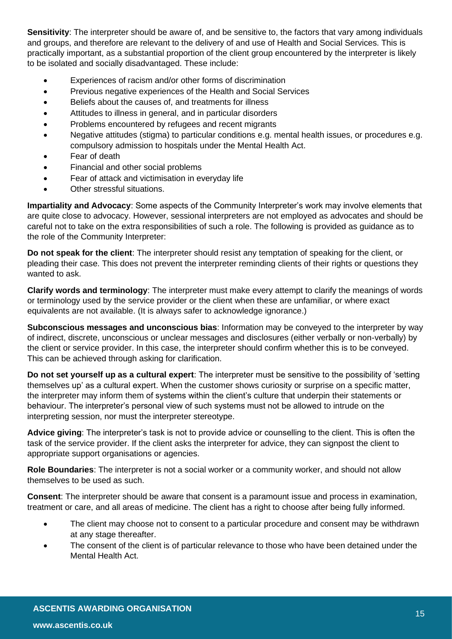**Sensitivity**: The interpreter should be aware of, and be sensitive to, the factors that vary among individuals and groups, and therefore are relevant to the delivery of and use of Health and Social Services. This is practically important, as a substantial proportion of the client group encountered by the interpreter is likely to be isolated and socially disadvantaged. These include:

- Experiences of racism and/or other forms of discrimination
- Previous negative experiences of the Health and Social Services
- Beliefs about the causes of, and treatments for illness
- Attitudes to illness in general, and in particular disorders
- Problems encountered by refugees and recent migrants
- Negative attitudes (stigma) to particular conditions e.g. mental health issues, or procedures e.g. compulsory admission to hospitals under the Mental Health Act.
- Fear of death
- Financial and other social problems
- Fear of attack and victimisation in everyday life
- Other stressful situations.

**Impartiality and Advocacy**: Some aspects of the Community Interpreter's work may involve elements that are quite close to advocacy. However, sessional interpreters are not employed as advocates and should be careful not to take on the extra responsibilities of such a role. The following is provided as guidance as to the role of the Community Interpreter:

**Do not speak for the client**: The interpreter should resist any temptation of speaking for the client, or pleading their case. This does not prevent the interpreter reminding clients of their rights or questions they wanted to ask.

**Clarify words and terminology**: The interpreter must make every attempt to clarify the meanings of words or terminology used by the service provider or the client when these are unfamiliar, or where exact equivalents are not available. (It is always safer to acknowledge ignorance.)

**Subconscious messages and unconscious bias**: Information may be conveyed to the interpreter by way of indirect, discrete, unconscious or unclear messages and disclosures (either verbally or non-verbally) by the client or service provider. In this case, the interpreter should confirm whether this is to be conveyed. This can be achieved through asking for clarification.

**Do not set yourself up as a cultural expert**: The interpreter must be sensitive to the possibility of 'setting themselves up' as a cultural expert. When the customer shows curiosity or surprise on a specific matter, the interpreter may inform them of systems within the client's culture that underpin their statements or behaviour. The interpreter's personal view of such systems must not be allowed to intrude on the interpreting session, nor must the interpreter stereotype.

**Advice giving**: The interpreter's task is not to provide advice or counselling to the client. This is often the task of the service provider. If the client asks the interpreter for advice, they can signpost the client to appropriate support organisations or agencies.

**Role Boundaries**: The interpreter is not a social worker or a community worker, and should not allow themselves to be used as such.

**Consent**: The interpreter should be aware that consent is a paramount issue and process in examination, treatment or care, and all areas of medicine. The client has a right to choose after being fully informed.

- The client may choose not to consent to a particular procedure and consent may be withdrawn at any stage thereafter.
- The consent of the client is of particular relevance to those who have been detained under the Mental Health Act.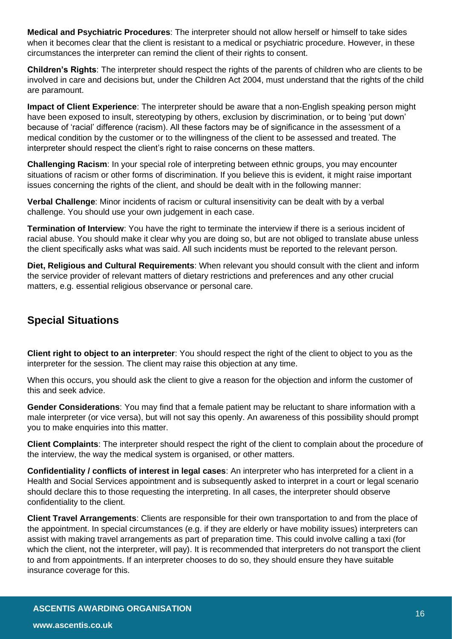**Medical and Psychiatric Procedures**: The interpreter should not allow herself or himself to take sides when it becomes clear that the client is resistant to a medical or psychiatric procedure. However, in these circumstances the interpreter can remind the client of their rights to consent.

**Children's Rights**: The interpreter should respect the rights of the parents of children who are clients to be involved in care and decisions but, under the Children Act 2004, must understand that the rights of the child are paramount.

**Impact of Client Experience**: The interpreter should be aware that a non-English speaking person might have been exposed to insult, stereotyping by others, exclusion by discrimination, or to being 'put down' because of 'racial' difference (racism). All these factors may be of significance in the assessment of a medical condition by the customer or to the willingness of the client to be assessed and treated. The interpreter should respect the client's right to raise concerns on these matters.

**Challenging Racism**: In your special role of interpreting between ethnic groups, you may encounter situations of racism or other forms of discrimination. If you believe this is evident, it might raise important issues concerning the rights of the client, and should be dealt with in the following manner:

**Verbal Challenge**: Minor incidents of racism or cultural insensitivity can be dealt with by a verbal challenge. You should use your own judgement in each case.

**Termination of Interview**: You have the right to terminate the interview if there is a serious incident of racial abuse. You should make it clear why you are doing so, but are not obliged to translate abuse unless the client specifically asks what was said. All such incidents must be reported to the relevant person.

**Diet, Religious and Cultural Requirements**: When relevant you should consult with the client and inform the service provider of relevant matters of dietary restrictions and preferences and any other crucial matters, e.g. essential religious observance or personal care.

#### <span id="page-15-0"></span>**Special Situations**

**Client right to object to an interpreter**: You should respect the right of the client to object to you as the interpreter for the session. The client may raise this objection at any time.

When this occurs, you should ask the client to give a reason for the objection and inform the customer of this and seek advice.

**Gender Considerations**: You may find that a female patient may be reluctant to share information with a male interpreter (or vice versa), but will not say this openly. An awareness of this possibility should prompt you to make enquiries into this matter.

**Client Complaints**: The interpreter should respect the right of the client to complain about the procedure of the interview, the way the medical system is organised, or other matters.

**Confidentiality / conflicts of interest in legal cases**: An interpreter who has interpreted for a client in a Health and Social Services appointment and is subsequently asked to interpret in a court or legal scenario should declare this to those requesting the interpreting. In all cases, the interpreter should observe confidentiality to the client.

**Client Travel Arrangements**: Clients are responsible for their own transportation to and from the place of the appointment. In special circumstances (e.g. if they are elderly or have mobility issues) interpreters can assist with making travel arrangements as part of preparation time. This could involve calling a taxi (for which the client, not the interpreter, will pay). It is recommended that interpreters do not transport the client to and from appointments. If an interpreter chooses to do so, they should ensure they have suitable insurance coverage for this.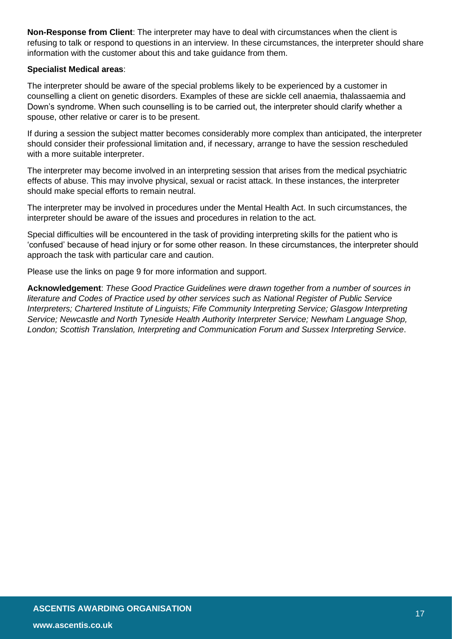**Non-Response from Client**: The interpreter may have to deal with circumstances when the client is refusing to talk or respond to questions in an interview. In these circumstances, the interpreter should share information with the customer about this and take guidance from them.

#### **Specialist Medical areas**:

The interpreter should be aware of the special problems likely to be experienced by a customer in counselling a client on genetic disorders. Examples of these are sickle cell anaemia, thalassaemia and Down's syndrome. When such counselling is to be carried out, the interpreter should clarify whether a spouse, other relative or carer is to be present.

If during a session the subject matter becomes considerably more complex than anticipated, the interpreter should consider their professional limitation and, if necessary, arrange to have the session rescheduled with a more suitable interpreter.

The interpreter may become involved in an interpreting session that arises from the medical psychiatric effects of abuse. This may involve physical, sexual or racist attack. In these instances, the interpreter should make special efforts to remain neutral.

The interpreter may be involved in procedures under the Mental Health Act. In such circumstances, the interpreter should be aware of the issues and procedures in relation to the act.

Special difficulties will be encountered in the task of providing interpreting skills for the patient who is 'confused' because of head injury or for some other reason. In these circumstances, the interpreter should approach the task with particular care and caution.

Please use the links on page 9 for more information and support.

**Acknowledgement**: *These Good Practice Guidelines were drawn together from a number of sources in literature and Codes of Practice used by other services such as National Register of Public Service Interpreters; Chartered Institute of Linguists; Fife Community Interpreting Service; Glasgow Interpreting Service; Newcastle and North Tyneside Health Authority Interpreter Service; Newham Language Shop, London; Scottish Translation, Interpreting and Communication Forum and Sussex Interpreting Service*.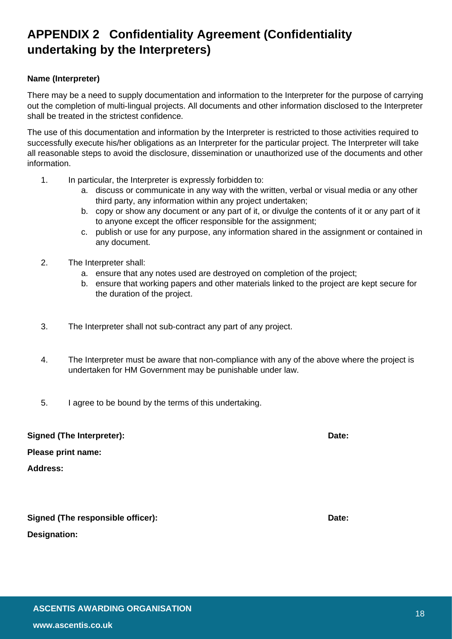# <span id="page-17-0"></span>**APPENDIX 2 Confidentiality Agreement (Confidentiality undertaking by the Interpreters)**

#### **Name (Interpreter)**

There may be a need to supply documentation and information to the Interpreter for the purpose of carrying out the completion of multi-lingual projects. All documents and other information disclosed to the Interpreter shall be treated in the strictest confidence.

The use of this documentation and information by the Interpreter is restricted to those activities required to successfully execute his/her obligations as an Interpreter for the particular project. The Interpreter will take all reasonable steps to avoid the disclosure, dissemination or unauthorized use of the documents and other information.

- 1. In particular, the Interpreter is expressly forbidden to:
	- a. discuss or communicate in any way with the written, verbal or visual media or any other third party, any information within any project undertaken;
	- b. copy or show any document or any part of it, or divulge the contents of it or any part of it to anyone except the officer responsible for the assignment;
	- c. publish or use for any purpose, any information shared in the assignment or contained in any document.
- 2. The Interpreter shall:
	- a. ensure that any notes used are destroyed on completion of the project;
	- b. ensure that working papers and other materials linked to the project are kept secure for the duration of the project.
- 3. The Interpreter shall not sub-contract any part of any project.
- 4. The Interpreter must be aware that non-compliance with any of the above where the project is undertaken for HM Government may be punishable under law.
- 5. I agree to be bound by the terms of this undertaking.

| <b>Signed (The Interpreter):</b>  | Date: |
|-----------------------------------|-------|
| Please print name:                |       |
| <b>Address:</b>                   |       |
|                                   |       |
|                                   |       |
| Signed (The responsible officer): | Date: |
| <b>Designation:</b>               |       |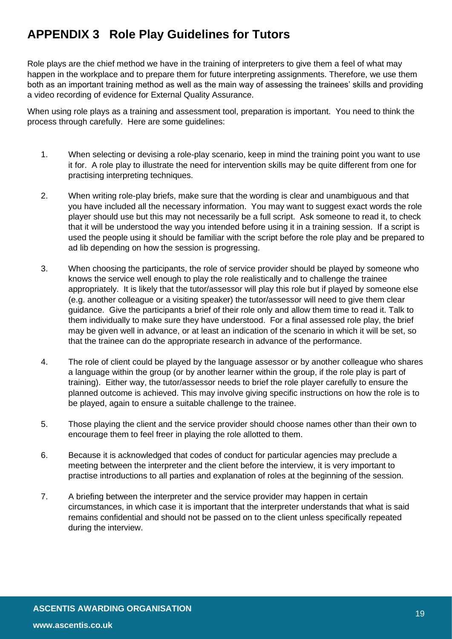# <span id="page-18-0"></span>**APPENDIX 3 Role Play Guidelines for Tutors**

Role plays are the chief method we have in the training of interpreters to give them a feel of what may happen in the workplace and to prepare them for future interpreting assignments. Therefore, we use them both as an important training method as well as the main way of assessing the trainees' skills and providing a video recording of evidence for External Quality Assurance.

When using role plays as a training and assessment tool, preparation is important. You need to think the process through carefully. Here are some guidelines:

- 1. When selecting or devising a role-play scenario, keep in mind the training point you want to use it for. A role play to illustrate the need for intervention skills may be quite different from one for practising interpreting techniques.
- 2. When writing role-play briefs, make sure that the wording is clear and unambiguous and that you have included all the necessary information. You may want to suggest exact words the role player should use but this may not necessarily be a full script. Ask someone to read it, to check that it will be understood the way you intended before using it in a training session. If a script is used the people using it should be familiar with the script before the role play and be prepared to ad lib depending on how the session is progressing.
- 3. When choosing the participants, the role of service provider should be played by someone who knows the service well enough to play the role realistically and to challenge the trainee appropriately. It is likely that the tutor/assessor will play this role but if played by someone else (e.g. another colleague or a visiting speaker) the tutor/assessor will need to give them clear guidance. Give the participants a brief of their role only and allow them time to read it. Talk to them individually to make sure they have understood. For a final assessed role play, the brief may be given well in advance, or at least an indication of the scenario in which it will be set, so that the trainee can do the appropriate research in advance of the performance.
- 4. The role of client could be played by the language assessor or by another colleague who shares a language within the group (or by another learner within the group, if the role play is part of training). Either way, the tutor/assessor needs to brief the role player carefully to ensure the planned outcome is achieved. This may involve giving specific instructions on how the role is to be played, again to ensure a suitable challenge to the trainee.
- 5. Those playing the client and the service provider should choose names other than their own to encourage them to feel freer in playing the role allotted to them.
- 6. Because it is acknowledged that codes of conduct for particular agencies may preclude a meeting between the interpreter and the client before the interview, it is very important to practise introductions to all parties and explanation of roles at the beginning of the session.
- 7. A briefing between the interpreter and the service provider may happen in certain circumstances, in which case it is important that the interpreter understands that what is said remains confidential and should not be passed on to the client unless specifically repeated during the interview.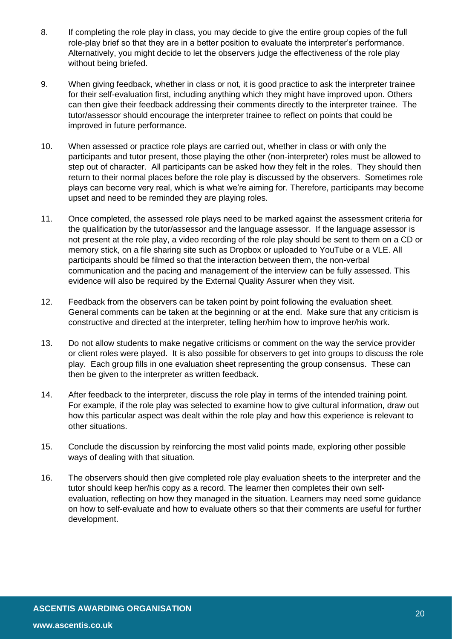- 8. If completing the role play in class, you may decide to give the entire group copies of the full role-play brief so that they are in a better position to evaluate the interpreter's performance. Alternatively, you might decide to let the observers judge the effectiveness of the role play without being briefed.
- 9. When giving feedback, whether in class or not, it is good practice to ask the interpreter trainee for their self-evaluation first, including anything which they might have improved upon. Others can then give their feedback addressing their comments directly to the interpreter trainee. The tutor/assessor should encourage the interpreter trainee to reflect on points that could be improved in future performance.
- 10. When assessed or practice role plays are carried out, whether in class or with only the participants and tutor present, those playing the other (non-interpreter) roles must be allowed to step out of character. All participants can be asked how they felt in the roles. They should then return to their normal places before the role play is discussed by the observers. Sometimes role plays can become very real, which is what we're aiming for. Therefore, participants may become upset and need to be reminded they are playing roles.
- 11. Once completed, the assessed role plays need to be marked against the assessment criteria for the qualification by the tutor/assessor and the language assessor. If the language assessor is not present at the role play, a video recording of the role play should be sent to them on a CD or memory stick, on a file sharing site such as Dropbox or uploaded to YouTube or a VLE. All participants should be filmed so that the interaction between them, the non-verbal communication and the pacing and management of the interview can be fully assessed. This evidence will also be required by the External Quality Assurer when they visit.
- 12. Feedback from the observers can be taken point by point following the evaluation sheet. General comments can be taken at the beginning or at the end. Make sure that any criticism is constructive and directed at the interpreter, telling her/him how to improve her/his work.
- 13. Do not allow students to make negative criticisms or comment on the way the service provider or client roles were played. It is also possible for observers to get into groups to discuss the role play. Each group fills in one evaluation sheet representing the group consensus. These can then be given to the interpreter as written feedback.
- 14. After feedback to the interpreter, discuss the role play in terms of the intended training point. For example, if the role play was selected to examine how to give cultural information, draw out how this particular aspect was dealt within the role play and how this experience is relevant to other situations.
- 15. Conclude the discussion by reinforcing the most valid points made, exploring other possible ways of dealing with that situation.
- 16. The observers should then give completed role play evaluation sheets to the interpreter and the tutor should keep her/his copy as a record. The learner then completes their own selfevaluation, reflecting on how they managed in the situation. Learners may need some guidance on how to self-evaluate and how to evaluate others so that their comments are useful for further development.